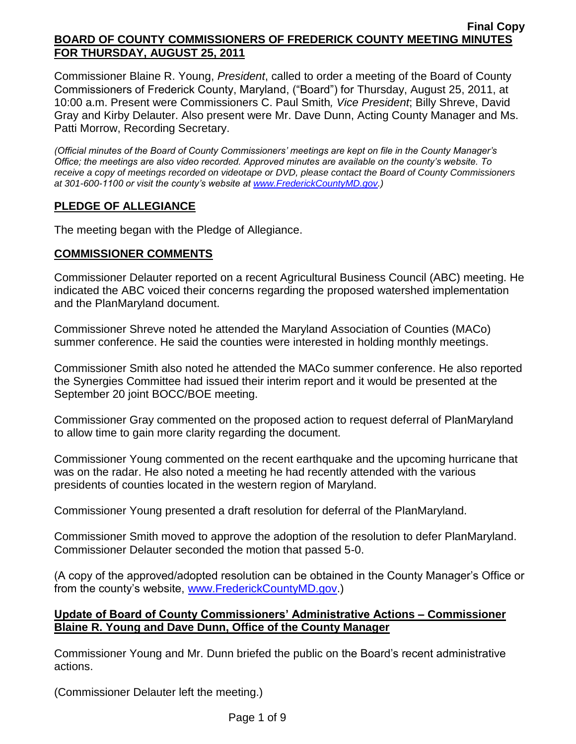Commissioner Blaine R. Young, *President*, called to order a meeting of the Board of County Commissioners of Frederick County, Maryland, ("Board") for Thursday, August 25, 2011, at 10:00 a.m. Present were Commissioners C. Paul Smith*, Vice President*; Billy Shreve, David Gray and Kirby Delauter. Also present were Mr. Dave Dunn, Acting County Manager and Ms. Patti Morrow, Recording Secretary.

*(Official minutes of the Board of County Commissioners' meetings are kept on file in the County Manager's Office; the meetings are also video recorded. Approved minutes are available on the county's website. To receive a copy of meetings recorded on videotape or DVD, please contact the Board of County Commissioners at 301-600-1100 or visit the county's website at [www.FrederickCountyMD.gov.](http://www.frederickcountymd.gov/))*

# **PLEDGE OF ALLEGIANCE**

The meeting began with the Pledge of Allegiance.

## **COMMISSIONER COMMENTS**

Commissioner Delauter reported on a recent Agricultural Business Council (ABC) meeting. He indicated the ABC voiced their concerns regarding the proposed watershed implementation and the PlanMaryland document.

Commissioner Shreve noted he attended the Maryland Association of Counties (MACo) summer conference. He said the counties were interested in holding monthly meetings.

Commissioner Smith also noted he attended the MACo summer conference. He also reported the Synergies Committee had issued their interim report and it would be presented at the September 20 joint BOCC/BOE meeting.

Commissioner Gray commented on the proposed action to request deferral of PlanMaryland to allow time to gain more clarity regarding the document.

Commissioner Young commented on the recent earthquake and the upcoming hurricane that was on the radar. He also noted a meeting he had recently attended with the various presidents of counties located in the western region of Maryland.

Commissioner Young presented a draft resolution for deferral of the PlanMaryland.

Commissioner Smith moved to approve the adoption of the resolution to defer PlanMaryland. Commissioner Delauter seconded the motion that passed 5-0.

(A copy of the approved/adopted resolution can be obtained in the County Manager's Office or from the county's website, [www.FrederickCountyMD.gov.](http://www.frederickcountymd.gov/))

## **Update of Board of County Commissioners' Administrative Actions – Commissioner Blaine R. Young and Dave Dunn, Office of the County Manager**

Commissioner Young and Mr. Dunn briefed the public on the Board's recent administrative actions.

(Commissioner Delauter left the meeting.)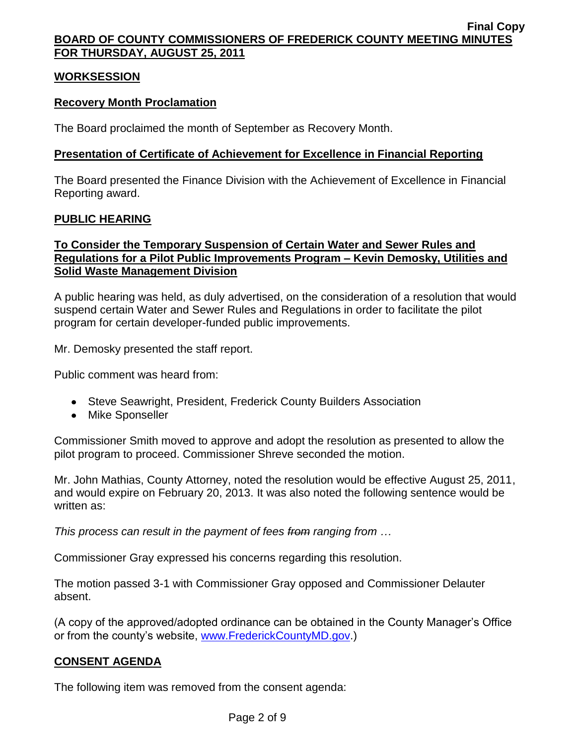## **WORKSESSION**

## **Recovery Month Proclamation**

The Board proclaimed the month of September as Recovery Month.

## **Presentation of Certificate of Achievement for Excellence in Financial Reporting**

The Board presented the Finance Division with the Achievement of Excellence in Financial Reporting award.

## **PUBLIC HEARING**

# **To Consider the Temporary Suspension of Certain Water and Sewer Rules and Regulations for a Pilot Public Improvements Program – Kevin Demosky, Utilities and Solid Waste Management Division**

A public hearing was held, as duly advertised, on the consideration of a resolution that would suspend certain Water and Sewer Rules and Regulations in order to facilitate the pilot program for certain developer-funded public improvements.

Mr. Demosky presented the staff report.

Public comment was heard from:

- Steve Seawright, President, Frederick County Builders Association
- Mike Sponseller

Commissioner Smith moved to approve and adopt the resolution as presented to allow the pilot program to proceed. Commissioner Shreve seconded the motion.

Mr. John Mathias, County Attorney, noted the resolution would be effective August 25, 2011, and would expire on February 20, 2013. It was also noted the following sentence would be written as:

*This process can result in the payment of fees from ranging from …*

Commissioner Gray expressed his concerns regarding this resolution.

The motion passed 3-1 with Commissioner Gray opposed and Commissioner Delauter absent.

(A copy of the approved/adopted ordinance can be obtained in the County Manager's Office or from the county's website, [www.FrederickCountyMD.gov.](http://www.frederickcountymd.gov/))

## **CONSENT AGENDA**

The following item was removed from the consent agenda: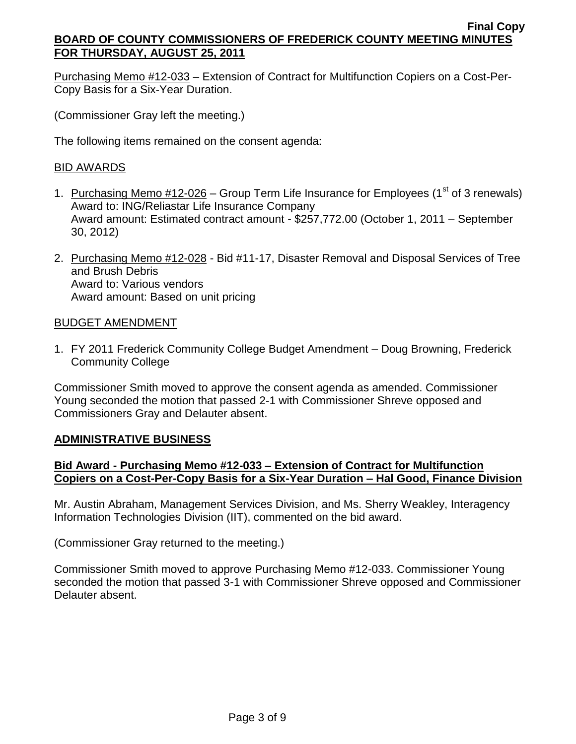Purchasing Memo #12-033 – Extension of Contract for Multifunction Copiers on a Cost-Per-Copy Basis for a Six-Year Duration.

(Commissioner Gray left the meeting.)

The following items remained on the consent agenda:

## BID AWARDS

- 1. Purchasing Memo  $\#12\text{-}026$  Group Term Life Insurance for Employees (1<sup>st</sup> of 3 renewals) Award to: ING/Reliastar Life Insurance Company Award amount: Estimated contract amount - \$257,772.00 (October 1, 2011 – September 30, 2012)
- 2. Purchasing Memo #12-028 Bid #11-17, Disaster Removal and Disposal Services of Tree and Brush Debris Award to: Various vendors Award amount: Based on unit pricing

## BUDGET AMENDMENT

1. FY 2011 Frederick Community College Budget Amendment – Doug Browning, Frederick Community College

Commissioner Smith moved to approve the consent agenda as amended. Commissioner Young seconded the motion that passed 2-1 with Commissioner Shreve opposed and Commissioners Gray and Delauter absent.

## **ADMINISTRATIVE BUSINESS**

# **Bid Award - Purchasing Memo #12-033 – Extension of Contract for Multifunction Copiers on a Cost-Per-Copy Basis for a Six-Year Duration – Hal Good, Finance Division**

Mr. Austin Abraham, Management Services Division, and Ms. Sherry Weakley, Interagency Information Technologies Division (IIT), commented on the bid award.

(Commissioner Gray returned to the meeting.)

Commissioner Smith moved to approve Purchasing Memo #12-033. Commissioner Young seconded the motion that passed 3-1 with Commissioner Shreve opposed and Commissioner Delauter absent.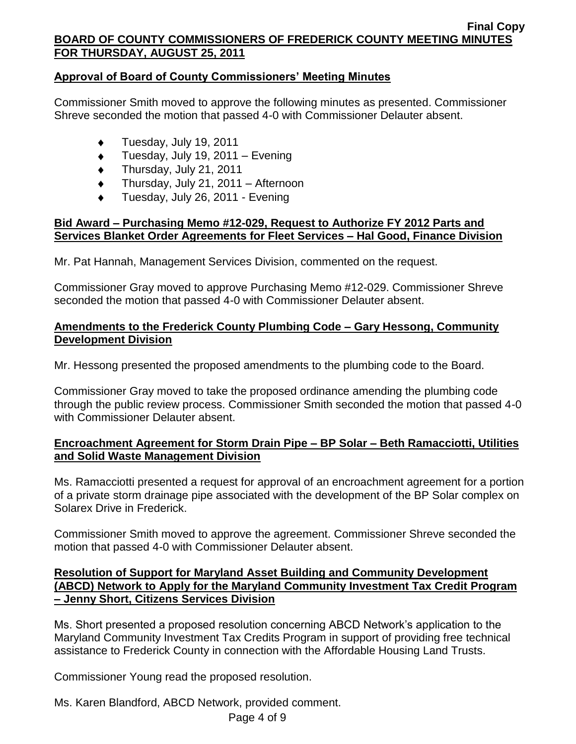# **Approval of Board of County Commissioners' Meeting Minutes**

Commissioner Smith moved to approve the following minutes as presented. Commissioner Shreve seconded the motion that passed 4-0 with Commissioner Delauter absent.

- Tuesday, July 19, 2011  $\bullet$
- Tuesday, July 19, 2011 Evening  $\bullet$
- $\bullet$ Thursday, July 21, 2011
- Thursday, July 21, 2011 Afternoon  $\bullet$
- Tuesday, July 26, 2011 Evening

## **Bid Award – Purchasing Memo #12-029, Request to Authorize FY 2012 Parts and Services Blanket Order Agreements for Fleet Services – Hal Good, Finance Division**

Mr. Pat Hannah, Management Services Division, commented on the request.

Commissioner Gray moved to approve Purchasing Memo #12-029. Commissioner Shreve seconded the motion that passed 4-0 with Commissioner Delauter absent.

## **Amendments to the Frederick County Plumbing Code – Gary Hessong, Community Development Division**

Mr. Hessong presented the proposed amendments to the plumbing code to the Board.

Commissioner Gray moved to take the proposed ordinance amending the plumbing code through the public review process. Commissioner Smith seconded the motion that passed 4-0 with Commissioner Delauter absent.

## **Encroachment Agreement for Storm Drain Pipe – BP Solar – Beth Ramacciotti, Utilities and Solid Waste Management Division**

Ms. Ramacciotti presented a request for approval of an encroachment agreement for a portion of a private storm drainage pipe associated with the development of the BP Solar complex on Solarex Drive in Frederick.

Commissioner Smith moved to approve the agreement. Commissioner Shreve seconded the motion that passed 4-0 with Commissioner Delauter absent.

## **Resolution of Support for Maryland Asset Building and Community Development (ABCD) Network to Apply for the Maryland Community Investment Tax Credit Program – Jenny Short, Citizens Services Division**

Ms. Short presented a proposed resolution concerning ABCD Network's application to the Maryland Community Investment Tax Credits Program in support of providing free technical assistance to Frederick County in connection with the Affordable Housing Land Trusts.

Commissioner Young read the proposed resolution.

Ms. Karen Blandford, ABCD Network, provided comment.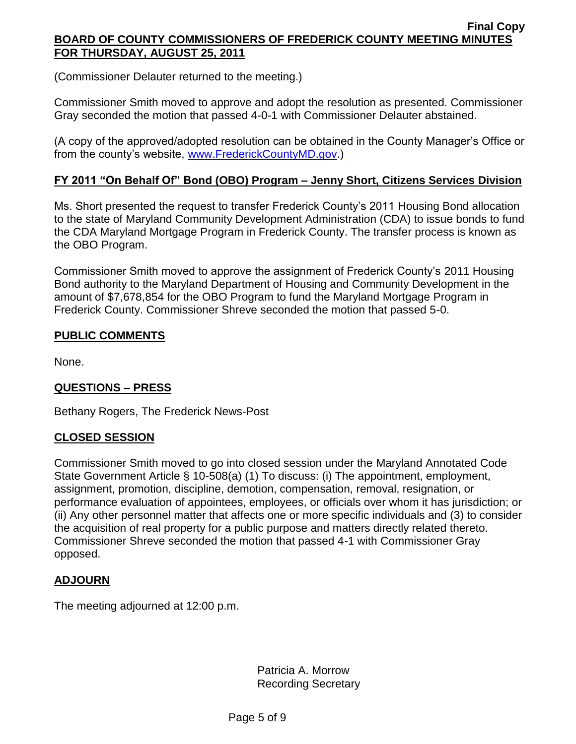(Commissioner Delauter returned to the meeting.)

Commissioner Smith moved to approve and adopt the resolution as presented. Commissioner Gray seconded the motion that passed 4-0-1 with Commissioner Delauter abstained.

(A copy of the approved/adopted resolution can be obtained in the County Manager's Office or from the county's website, [www.FrederickCountyMD.gov.](http://www.frederickcountymd.gov/))

# **FY 2011 "On Behalf Of" Bond (OBO) Program – Jenny Short, Citizens Services Division**

Ms. Short presented the request to transfer Frederick County's 2011 Housing Bond allocation to the state of Maryland Community Development Administration (CDA) to issue bonds to fund the CDA Maryland Mortgage Program in Frederick County. The transfer process is known as the OBO Program.

Commissioner Smith moved to approve the assignment of Frederick County's 2011 Housing Bond authority to the Maryland Department of Housing and Community Development in the amount of \$7,678,854 for the OBO Program to fund the Maryland Mortgage Program in Frederick County. Commissioner Shreve seconded the motion that passed 5-0.

# **PUBLIC COMMENTS**

None.

## **QUESTIONS – PRESS**

Bethany Rogers, The Frederick News-Post

## **CLOSED SESSION**

Commissioner Smith moved to go into closed session under the Maryland Annotated Code State Government Article § 10-508(a) (1) To discuss: (i) The appointment, employment, assignment, promotion, discipline, demotion, compensation, removal, resignation, or performance evaluation of appointees, employees, or officials over whom it has jurisdiction; or (ii) Any other personnel matter that affects one or more specific individuals and (3) to consider the acquisition of real property for a public purpose and matters directly related thereto. Commissioner Shreve seconded the motion that passed 4-1 with Commissioner Gray opposed.

# **ADJOURN**

The meeting adjourned at 12:00 p.m.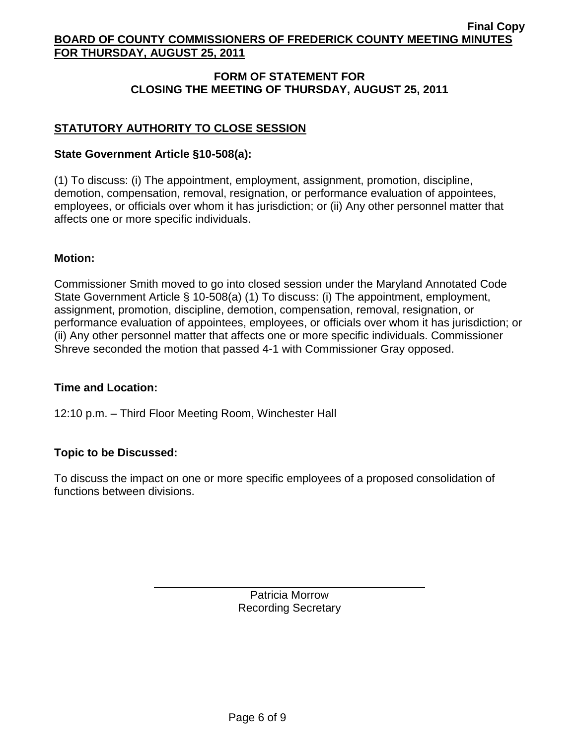# **FORM OF STATEMENT FOR CLOSING THE MEETING OF THURSDAY, AUGUST 25, 2011**

# **STATUTORY AUTHORITY TO CLOSE SESSION**

### **State Government Article §10-508(a):**

(1) To discuss: (i) The appointment, employment, assignment, promotion, discipline, demotion, compensation, removal, resignation, or performance evaluation of appointees, employees, or officials over whom it has jurisdiction; or (ii) Any other personnel matter that affects one or more specific individuals.

#### **Motion:**

Commissioner Smith moved to go into closed session under the Maryland Annotated Code State Government Article § 10-508(a) (1) To discuss: (i) The appointment, employment, assignment, promotion, discipline, demotion, compensation, removal, resignation, or performance evaluation of appointees, employees, or officials over whom it has jurisdiction; or (ii) Any other personnel matter that affects one or more specific individuals. Commissioner Shreve seconded the motion that passed 4-1 with Commissioner Gray opposed.

#### **Time and Location:**

12:10 p.m. – Third Floor Meeting Room, Winchester Hall

## **Topic to be Discussed:**

To discuss the impact on one or more specific employees of a proposed consolidation of functions between divisions.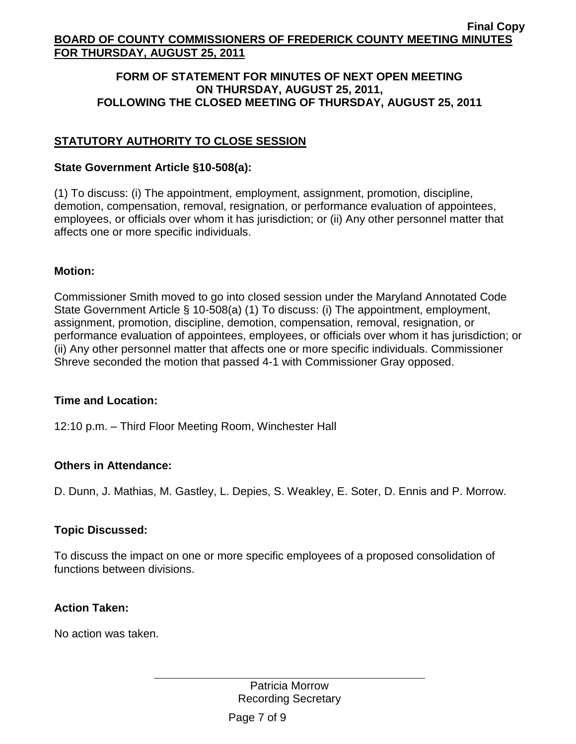### **FORM OF STATEMENT FOR MINUTES OF NEXT OPEN MEETING ON THURSDAY, AUGUST 25, 2011, FOLLOWING THE CLOSED MEETING OF THURSDAY, AUGUST 25, 2011**

# **STATUTORY AUTHORITY TO CLOSE SESSION**

### **State Government Article §10-508(a):**

(1) To discuss: (i) The appointment, employment, assignment, promotion, discipline, demotion, compensation, removal, resignation, or performance evaluation of appointees, employees, or officials over whom it has jurisdiction; or (ii) Any other personnel matter that affects one or more specific individuals.

## **Motion:**

Commissioner Smith moved to go into closed session under the Maryland Annotated Code State Government Article § 10-508(a) (1) To discuss: (i) The appointment, employment, assignment, promotion, discipline, demotion, compensation, removal, resignation, or performance evaluation of appointees, employees, or officials over whom it has jurisdiction; or (ii) Any other personnel matter that affects one or more specific individuals. Commissioner Shreve seconded the motion that passed 4-1 with Commissioner Gray opposed.

#### **Time and Location:**

12:10 p.m. – Third Floor Meeting Room, Winchester Hall

## **Others in Attendance:**

D. Dunn, J. Mathias, M. Gastley, L. Depies, S. Weakley, E. Soter, D. Ennis and P. Morrow.

## **Topic Discussed:**

To discuss the impact on one or more specific employees of a proposed consolidation of functions between divisions.

#### **Action Taken:**

No action was taken.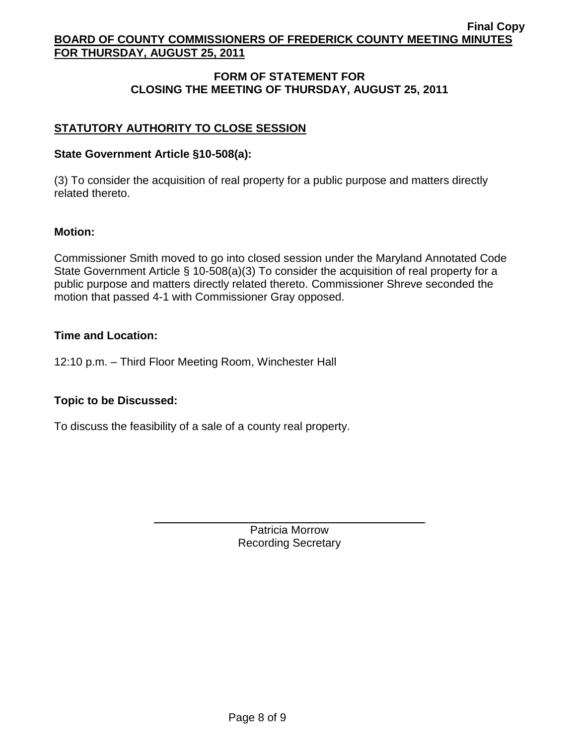# **FORM OF STATEMENT FOR CLOSING THE MEETING OF THURSDAY, AUGUST 25, 2011**

# **STATUTORY AUTHORITY TO CLOSE SESSION**

## **State Government Article §10-508(a):**

(3) To consider the acquisition of real property for a public purpose and matters directly related thereto.

### **Motion:**

Commissioner Smith moved to go into closed session under the Maryland Annotated Code State Government Article § 10-508(a)(3) To consider the acquisition of real property for a public purpose and matters directly related thereto. Commissioner Shreve seconded the motion that passed 4-1 with Commissioner Gray opposed.

### **Time and Location:**

12:10 p.m. – Third Floor Meeting Room, Winchester Hall

## **Topic to be Discussed:**

To discuss the feasibility of a sale of a county real property.